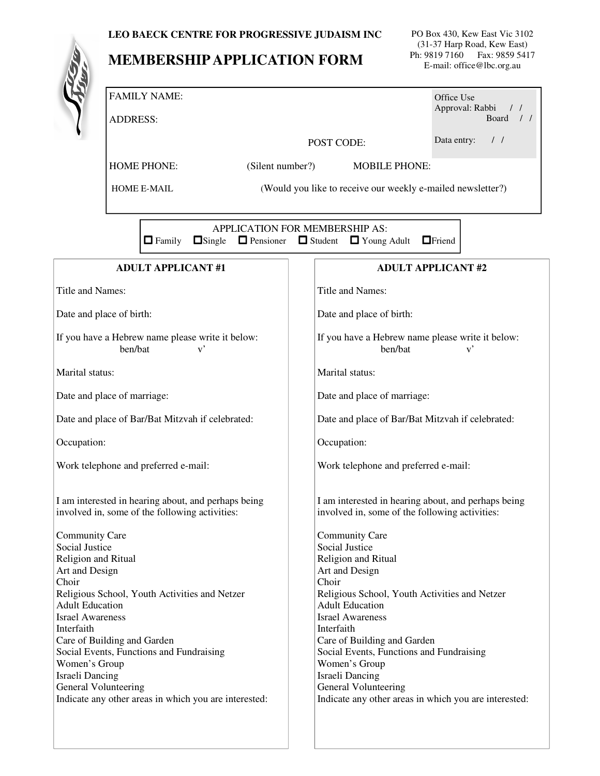## **LEO BAECK CENTRE FOR PROGRESSIVE JUDAISM INC**

## **MEMBERSHIP APPLICATION FORM**

PO Box 430, Kew East Vic 3102 (31-37 Harp Road, Kew East) Ph: 9819 7160 Fax: 9859 5417 E-mail: office@lbc.org.au

|                                                                                                                                                                                       | <b>FAMILY NAME:</b> |                                        |  |                                                             |                                                                                                                                                                                       | Office Use                   |  |
|---------------------------------------------------------------------------------------------------------------------------------------------------------------------------------------|---------------------|----------------------------------------|--|-------------------------------------------------------------|---------------------------------------------------------------------------------------------------------------------------------------------------------------------------------------|------------------------------|--|
|                                                                                                                                                                                       | <b>ADDRESS:</b>     |                                        |  |                                                             |                                                                                                                                                                                       | Approval: Rabbi<br>Board / / |  |
|                                                                                                                                                                                       |                     |                                        |  |                                                             | POST CODE:                                                                                                                                                                            | Data entry:<br>$\frac{1}{2}$ |  |
|                                                                                                                                                                                       |                     | <b>HOME PHONE:</b><br>(Silent number?) |  |                                                             | <b>MOBILE PHONE:</b>                                                                                                                                                                  |                              |  |
|                                                                                                                                                                                       | <b>HOME E-MAIL</b>  |                                        |  | (Would you like to receive our weekly e-mailed newsletter?) |                                                                                                                                                                                       |                              |  |
|                                                                                                                                                                                       |                     |                                        |  |                                                             |                                                                                                                                                                                       |                              |  |
| APPLICATION FOR MEMBERSHIP AS:<br>$\Box$ Single $\Box$ Pensioner $\Box$ Student<br>$\Box$ Family                                                                                      |                     |                                        |  |                                                             | $\Box$ Young Adult                                                                                                                                                                    | $\Box$ Friend                |  |
|                                                                                                                                                                                       |                     | <b>ADULT APPLICANT#1</b>               |  |                                                             |                                                                                                                                                                                       | <b>ADULT APPLICANT#2</b>     |  |
| <b>Title and Names:</b>                                                                                                                                                               |                     |                                        |  |                                                             | <b>Title and Names:</b>                                                                                                                                                               |                              |  |
| Date and place of birth:                                                                                                                                                              |                     |                                        |  |                                                             | Date and place of birth:                                                                                                                                                              |                              |  |
| If you have a Hebrew name please write it below:<br>ben/bat<br>$\mathbf{v}^{\prime}$                                                                                                  |                     |                                        |  |                                                             | If you have a Hebrew name please write it below:<br>ben/bat<br>$\mathbf{v}^{\prime}$                                                                                                  |                              |  |
| Marital status:                                                                                                                                                                       |                     |                                        |  |                                                             | Marital status:                                                                                                                                                                       |                              |  |
| Date and place of marriage:                                                                                                                                                           |                     |                                        |  |                                                             | Date and place of marriage:                                                                                                                                                           |                              |  |
| Date and place of Bar/Bat Mitzvah if celebrated:                                                                                                                                      |                     |                                        |  |                                                             | Date and place of Bar/Bat Mitzvah if celebrated:                                                                                                                                      |                              |  |
| Occupation:                                                                                                                                                                           |                     |                                        |  |                                                             | Occupation:                                                                                                                                                                           |                              |  |
| Work telephone and preferred e-mail:                                                                                                                                                  |                     |                                        |  |                                                             | Work telephone and preferred e-mail:                                                                                                                                                  |                              |  |
| I am interested in hearing about, and perhaps being<br>involved in, some of the following activities:                                                                                 |                     |                                        |  |                                                             | I am interested in hearing about, and perhaps being<br>involved in, some of the following activities:                                                                                 |                              |  |
| <b>Community Care</b><br>Social Justice<br>Religion and Ritual<br>Art and Design<br>Choir<br>Religious School, Youth Activities and Netzer                                            |                     |                                        |  |                                                             | <b>Community Care</b><br>Social Justice<br>Religion and Ritual<br>Art and Design<br>Choir<br>Religious School, Youth Activities and Netzer                                            |                              |  |
| <b>Adult Education</b><br><b>Israel Awareness</b><br>Interfaith<br>Care of Building and Garden<br>Social Events, Functions and Fundraising<br>Women's Group<br><b>Israeli Dancing</b> |                     |                                        |  |                                                             | <b>Adult Education</b><br><b>Israel Awareness</b><br>Interfaith<br>Care of Building and Garden<br>Social Events, Functions and Fundraising<br>Women's Group<br><b>Israeli Dancing</b> |                              |  |
| <b>General Volunteering</b><br>Indicate any other areas in which you are interested:                                                                                                  |                     |                                        |  |                                                             | General Volunteering<br>Indicate any other areas in which you are interested:                                                                                                         |                              |  |